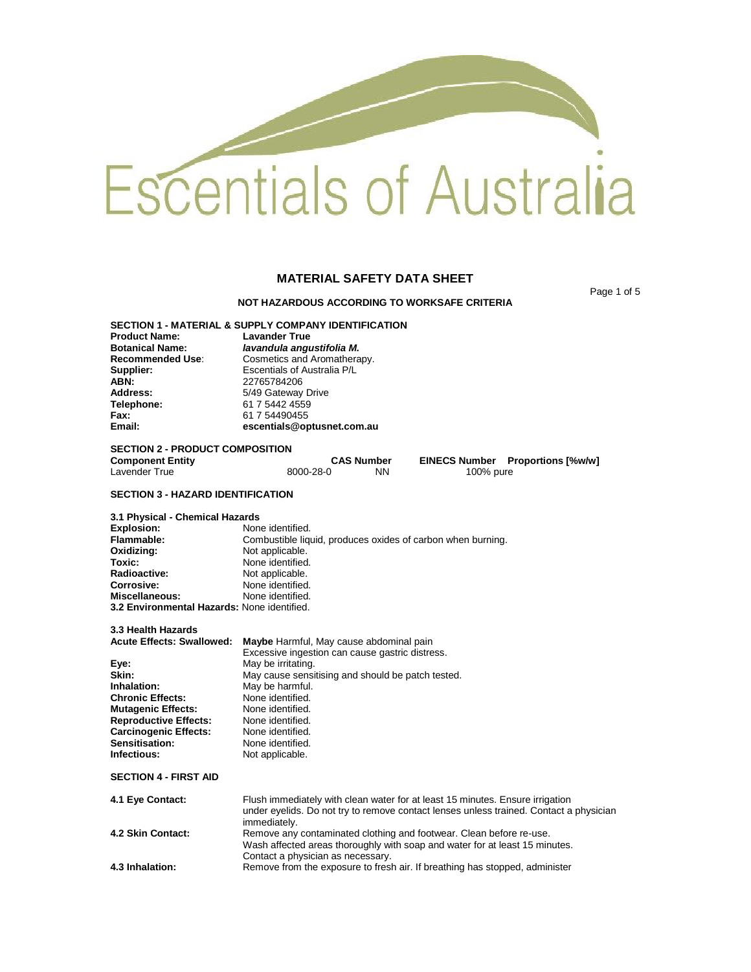# Escentials of Australia

# **MATERIAL SAFETY DATA SHEET**

Page 1 of 5

# **NOT HAZARDOUS ACCORDING TO WORKSAFE CRITERIA**

**SECTION 1 - MATERIAL & SUPPLY COMPANY IDENTIFICATION Product Name:**<br>Botanical Name: **Botanical Name:** *lavandula angustifolia M.* **Recommended Use:** Cosmetics and Aromatherapy.<br> **Supplier:** Escentials of Australia P/L **Supplier: Escentials of Australia P/L**<br>**ABN: ABN:** 22765784206 **ABN:** 22765784206<br> **Address:** 5/49 Gateway **Address:** 5/49 Gateway Drive<br> **Telephone:** 61 7 5442 4559 **Telephone:** 61 7 5442 4559 **Fax:** 61 7 54490455 **Email: escentials@optusnet.com.au**

# **SECTION 2 - PRODUCT COMPOSITION**

| <b>Component Entity</b> |           | <b>CAS Number</b> |           | <b>EINECS Number</b> Proportions [%w/w] |
|-------------------------|-----------|-------------------|-----------|-----------------------------------------|
| Lavender True           | 8000-28-0 | NΝ                | 100% pure |                                         |

# **SECTION 3 - HAZARD IDENTIFICATION**

**3.1 Physical - Chemical Hazards Explosion: None identified.**<br> **Flammable: Combustible liqu Flammable: Combustible liquid, produces oxides of carbon when burning.**<br>**Oxidizing: Not** applicable. **Oxidizing:** Not applicable.<br> **Toxic:** None identified **Toxic: None identified.**<br> **Radioactive: Not** applicable. **Radioactive:** Not applicable.<br> **Corrosive:** None identified None identified.<br>None identified. **Miscellaneous: 3.2 Environmental Hazards:** None identified.

# **3.3 Health Hazards**

| <b>Acute Effects: Swallowed:</b> | Maybe Harmful, May cause abdominal pain           |
|----------------------------------|---------------------------------------------------|
|                                  | Excessive ingestion can cause gastric distress.   |
| Eye:                             | May be irritating.                                |
| Skin:                            | May cause sensitising and should be patch tested. |
| Inhalation:                      | May be harmful.                                   |
| <b>Chronic Effects:</b>          | None identified.                                  |
| <b>Mutagenic Effects:</b>        | None identified.                                  |
| <b>Reproductive Effects:</b>     | None identified.                                  |
| <b>Carcinogenic Effects:</b>     | None identified.                                  |
| <b>Sensitisation:</b>            | None identified.                                  |
| Infectious:                      | Not applicable.                                   |
|                                  |                                                   |

**SECTION 4 - FIRST AID**

| 4.1 Eye Contact:  | Flush immediately with clean water for at least 15 minutes. Ensure irrigation<br>under eyelids. Do not try to remove contact lenses unless trained. Contact a physician<br>immediately. |
|-------------------|-----------------------------------------------------------------------------------------------------------------------------------------------------------------------------------------|
| 4.2 Skin Contact: | Remove any contaminated clothing and footwear. Clean before re-use.<br>Wash affected areas thoroughly with soap and water for at least 15 minutes.<br>Contact a physician as necessary. |
| 4.3 Inhalation:   | Remove from the exposure to fresh air. If breathing has stopped, administer                                                                                                             |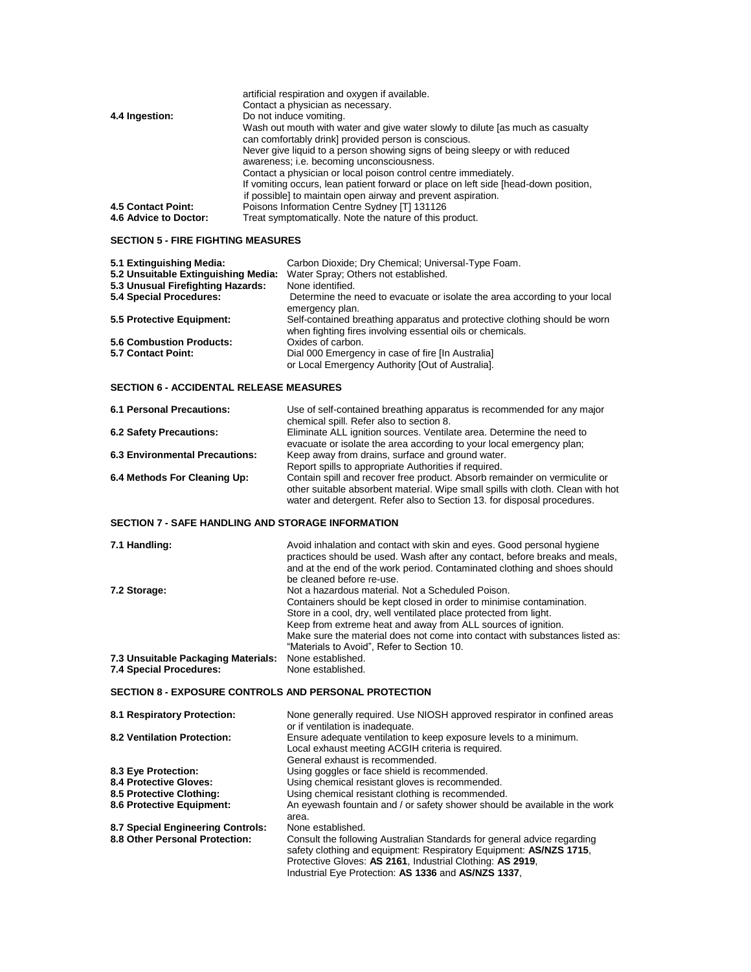| 4.4 Ingestion:            | artificial respiration and oxygen if available.<br>Contact a physician as necessary.<br>Do not induce vomiting.                        |
|---------------------------|----------------------------------------------------------------------------------------------------------------------------------------|
|                           | Wash out mouth with water and give water slowly to dilute [as much as casualty<br>can comfortably drink] provided person is conscious. |
|                           | Never give liquid to a person showing signs of being sleepy or with reduced                                                            |
|                           | awareness; i.e. becoming unconsciousness.                                                                                              |
|                           | Contact a physician or local poison control centre immediately.                                                                        |
|                           | If vomiting occurs, lean patient forward or place on left side [head-down position,                                                    |
|                           | if possible] to maintain open airway and prevent aspiration.                                                                           |
| <b>4.5 Contact Point:</b> | Poisons Information Centre Sydney [T] 131126                                                                                           |
| 4.6 Advice to Doctor:     | Treat symptomatically. Note the nature of this product.                                                                                |

# **SECTION 5 - FIRE FIGHTING MEASURES**

| Carbon Dioxide; Dry Chemical; Universal-Type Foam.                                                                                      |
|-----------------------------------------------------------------------------------------------------------------------------------------|
| Water Spray: Others not established.                                                                                                    |
| None identified.                                                                                                                        |
| Determine the need to evacuate or isolate the area according to your local<br>emergency plan.                                           |
| Self-contained breathing apparatus and protective clothing should be worn<br>when fighting fires involving essential oils or chemicals. |
| Oxides of carbon.                                                                                                                       |
| Dial 000 Emergency in case of fire [In Australia]<br>or Local Emergency Authority [Out of Australia].                                   |
|                                                                                                                                         |

# **SECTION 6 - ACCIDENTAL RELEASE MEASURES**

| <b>6.1 Personal Precautions:</b> | Use of self-contained breathing apparatus is recommended for any major          |
|----------------------------------|---------------------------------------------------------------------------------|
|                                  | chemical spill. Refer also to section 8.                                        |
| <b>6.2 Safety Precautions:</b>   | Eliminate ALL ignition sources. Ventilate area. Determine the need to           |
|                                  | evacuate or isolate the area according to your local emergency plan;            |
| 6.3 Environmental Precautions:   | Keep away from drains, surface and ground water.                                |
|                                  | Report spills to appropriate Authorities if required.                           |
| 6.4 Methods For Cleaning Up:     | Contain spill and recover free product. Absorb remainder on vermiculite or      |
|                                  | other suitable absorbent material. Wipe small spills with cloth. Clean with hot |
|                                  | water and detergent. Refer also to Section 13. for disposal procedures.         |
|                                  |                                                                                 |
|                                  |                                                                                 |

# **SECTION 7 - SAFE HANDLING AND STORAGE INFORMATION**

| 7.1 Handling:                       | Avoid inhalation and contact with skin and eyes. Good personal hygiene<br>practices should be used. Wash after any contact, before breaks and meals,<br>and at the end of the work period. Contaminated clothing and shoes should<br>be cleaned before re-use.                                                                                                                                |
|-------------------------------------|-----------------------------------------------------------------------------------------------------------------------------------------------------------------------------------------------------------------------------------------------------------------------------------------------------------------------------------------------------------------------------------------------|
| 7.2 Storage:                        | Not a hazardous material. Not a Scheduled Poison.<br>Containers should be kept closed in order to minimise contamination.<br>Store in a cool, dry, well ventilated place protected from light.<br>Keep from extreme heat and away from ALL sources of ignition.<br>Make sure the material does not come into contact with substances listed as:<br>"Materials to Avoid". Refer to Section 10. |
| 7.3 Unsuitable Packaging Materials: | None established.                                                                                                                                                                                                                                                                                                                                                                             |
| 7.4 Special Procedures:             | None established.                                                                                                                                                                                                                                                                                                                                                                             |

# **SECTION 8 - EXPOSURE CONTROLS AND PERSONAL PROTECTION**

| 8.1 Respiratory Protection:       | None generally required. Use NIOSH approved respirator in confined areas                                                                      |
|-----------------------------------|-----------------------------------------------------------------------------------------------------------------------------------------------|
|                                   | or if ventilation is inadequate.                                                                                                              |
| 8.2 Ventilation Protection:       | Ensure adequate ventilation to keep exposure levels to a minimum.                                                                             |
|                                   | Local exhaust meeting ACGIH criteria is required.                                                                                             |
|                                   | General exhaust is recommended.                                                                                                               |
| 8.3 Eye Protection:               | Using goggles or face shield is recommended.                                                                                                  |
| <b>8.4 Protective Gloves:</b>     | Using chemical resistant gloves is recommended.                                                                                               |
| 8.5 Protective Clothing:          | Using chemical resistant clothing is recommended.                                                                                             |
| <b>8.6 Protective Equipment:</b>  | An eyewash fountain and / or safety shower should be available in the work                                                                    |
|                                   | area.                                                                                                                                         |
| 8.7 Special Engineering Controls: | None established.                                                                                                                             |
| 8.8 Other Personal Protection:    | Consult the following Australian Standards for general advice regarding<br>safety clothing and equipment: Respiratory Equipment: AS/NZS 1715, |
|                                   | Protective Gloves: AS 2161, Industrial Clothing: AS 2919,                                                                                     |
|                                   | Industrial Eye Protection: AS 1336 and AS/NZS 1337.                                                                                           |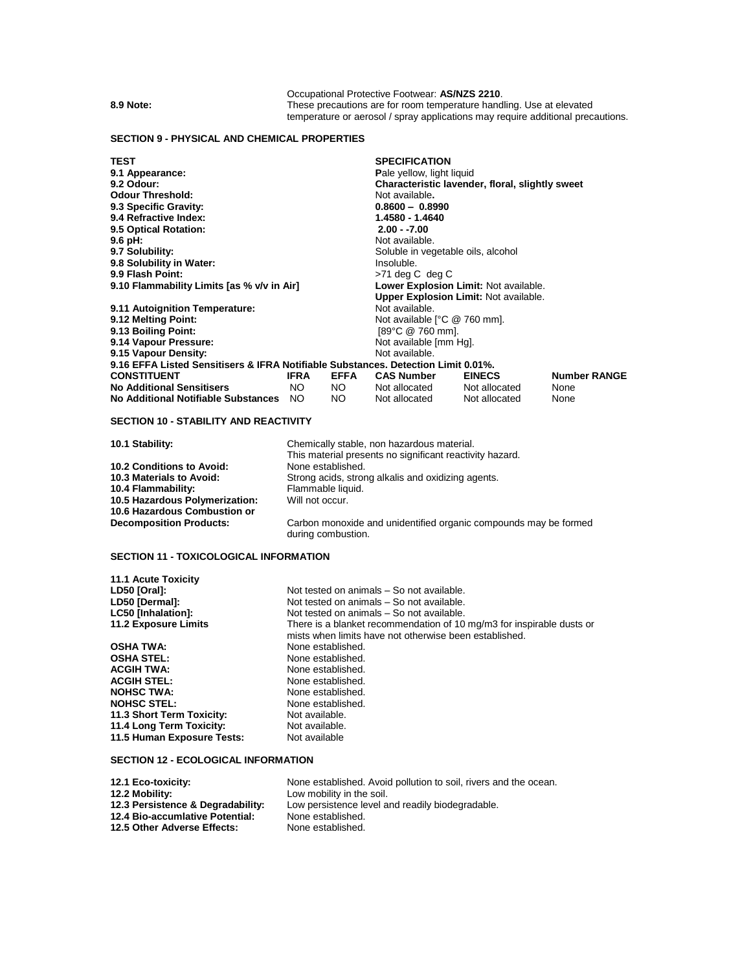Occupational Protective Footwear: **AS/NZS 2210**. **8.9 Note:** These precautions are for room temperature handling. Use at elevated temperature or aerosol / spray applications may require additional precautions.

## **SECTION 9 - PHYSICAL AND CHEMICAL PROPERTIES**

**TEST SPECIFICATION 9.1 Appearance:** Pale yellow, light liquid<br>**9.2 Odour:** Pale yellow, pale yellow, pale yellow, light liquid **Characteristic lavender, floral, slightly sweet**<br>Not available. **Odour Threshold:** Not available**. 9.3 Specific Gravity: 0.8600 – 0.8990 9.4 Refractive Index: 1.4580 - 1.4640 9.5 Optical Rotation: 2.00 - -7.00 9.6 pH: and a set of a set of a set of a set of a set of a set of a set of a set of a set of a set of a set o<br>
<b>9.7 Solubility: a** set of a set of a set of a set of a set of a set of a set of a set of a set of a set o Soluble in vegetable oils, alcohol<br>Insoluble. **9.8 Solubility in Water: 9.9 Flash Point: 19.9 Point: 19.9 Point:** 19.9 Point: **19.9 Point:** 19.9 Point: **9.10 Flammability Limits [as % v/v in Air] 19.9 Lower Explosion Limit:** Not available. **9.10 Flammability Limits [as % v/v in Air] Upper Explosion Limit:** Not available. **9.11 Autoignition Temperature: 9.12 Melting Point:** Not available [°C @ 760 mm].<br>[89°C @ 760 mm]. **9.13 Boiling Point:** [89°C @ 760 mm]. **9.14 Vapour Pressure: Not available [Mg].** Not available [Mg]. **Not available [Mg].** Not available. **9.15 Vapour Density: 9.16 EFFA Listed Sensitisers & IFRA Notifiable Substances. Detection Limit 0.01%. CONSTITUEL EINECS CONSTITUES**<br>Notellocated Not allocated None **No Additional Sensitisers** NO NO Not allocated Not allocated None **No Additional Notifiable Substances** NO **SECTION 10 - STABILITY AND REACTIVITY 10.1 Stability:** Chemically stable, non hazardous material. This material presents no significant reactivity hazard. **10.2 Conditions to Avoid:**<br>**10.3 Materials to Avoid:** Strong acids, strong alkalis and oxidizing agents. **10.4 Flammability:** Flammable liquid.<br>**10.5 Hazardous Polymerization:** Will not occur. **10.5 Hazardous Polymerization: 10.6 Hazardous Combustion or**

Carbon monoxide and unidentified organic compounds may be formed during combustion.

# **SECTION 11 - TOXICOLOGICAL INFORMATION**

**11.1 Acute Toxicity**

| LD50 [Oral]:                | Not tested on animals - So not available.                                                                                       |
|-----------------------------|---------------------------------------------------------------------------------------------------------------------------------|
| LD50 [Dermal]:              | Not tested on animals – So not available.                                                                                       |
| <b>LC50 [Inhalation]:</b>   | Not tested on animals – So not available.                                                                                       |
| <b>11.2 Exposure Limits</b> | There is a blanket recommendation of 10 mg/m3 for inspirable dusts or<br>mists when limits have not otherwise been established. |
| <b>OSHA TWA:</b>            | None established.                                                                                                               |
| <b>OSHA STEL:</b>           | None established.                                                                                                               |
| <b>ACGIH TWA:</b>           | None established.                                                                                                               |
| <b>ACGIH STEL:</b>          | None established.                                                                                                               |
| <b>NOHSC TWA:</b>           | None established.                                                                                                               |
| <b>NOHSC STEL:</b>          | None established.                                                                                                               |
| 11.3 Short Term Toxicity:   | Not available.                                                                                                                  |
| 11.4 Long Term Toxicity:    | Not available.                                                                                                                  |
| 11.5 Human Exposure Tests:  | Not available                                                                                                                   |

# **SECTION 12 - ECOLOGICAL INFORMATION**

| 12.1 Eco-toxicity:                | None established. Avoid pollution to soil, rivers and the ocean. |
|-----------------------------------|------------------------------------------------------------------|
| 12.2 Mobility:                    | Low mobility in the soil.                                        |
| 12.3 Persistence & Degradability: | Low persistence level and readily biodegradable.                 |
| 12.4 Bio-accumlative Potential:   | None established.                                                |
| 12.5 Other Adverse Effects:       | None established.                                                |